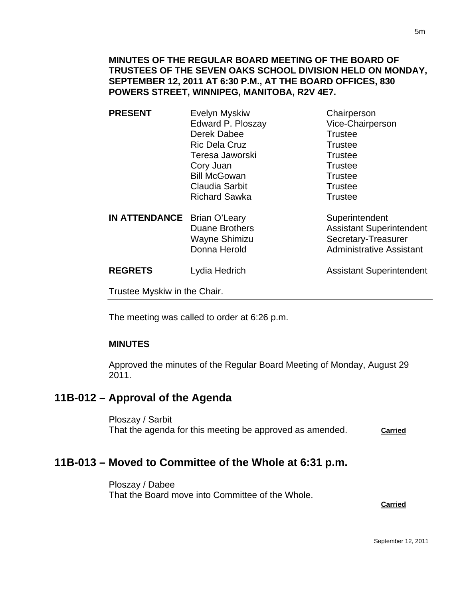### **MINUTES OF THE REGULAR BOARD MEETING OF THE BOARD OF TRUSTEES OF THE SEVEN OAKS SCHOOL DIVISION HELD ON MONDAY, SEPTEMBER 12, 2011 AT 6:30 P.M., AT THE BOARD OFFICES, 830 POWERS STREET, WINNIPEG, MANITOBA, R2V 4E7.**

| <b>PRESENT</b>               | <b>Evelyn Myskiw</b><br>Edward P. Ploszay<br>Derek Dabee<br><b>Ric Dela Cruz</b><br>Teresa Jaworski<br>Cory Juan<br><b>Bill McGowan</b><br>Claudia Sarbit<br><b>Richard Sawka</b> | Chairperson<br>Vice-Chairperson<br><b>Trustee</b><br><b>Trustee</b><br><b>Trustee</b><br><b>Trustee</b><br><b>Trustee</b><br><b>Trustee</b><br>Trustee |
|------------------------------|-----------------------------------------------------------------------------------------------------------------------------------------------------------------------------------|--------------------------------------------------------------------------------------------------------------------------------------------------------|
| <b>IN ATTENDANCE</b>         | Brian O'Leary<br><b>Duane Brothers</b><br>Wayne Shimizu<br>Donna Herold                                                                                                           | Superintendent<br><b>Assistant Superintendent</b><br>Secretary-Treasurer<br><b>Administrative Assistant</b>                                            |
| <b>REGRETS</b>               | Lydia Hedrich                                                                                                                                                                     | <b>Assistant Superintendent</b>                                                                                                                        |
| Trustee Myskiw in the Chair. |                                                                                                                                                                                   |                                                                                                                                                        |

The meeting was called to order at 6:26 p.m.

#### **MINUTES**

Approved the minutes of the Regular Board Meeting of Monday, August 29 2011.

## **11B-012 – Approval of the Agenda**

Ploszay / Sarbit That the agenda for this meeting be approved as amended. **Carried**

## **11B-013 – Moved to Committee of the Whole at 6:31 p.m.**

Ploszay / Dabee That the Board move into Committee of the Whole.

**Carried** Carried Communication of the Carried Carried Carried Carried Carried Carried Carried Carried Carried Carried Carried Carried Carried Carried Carried Carried Carried Carried Carried Carried Carried Carried Carried

5m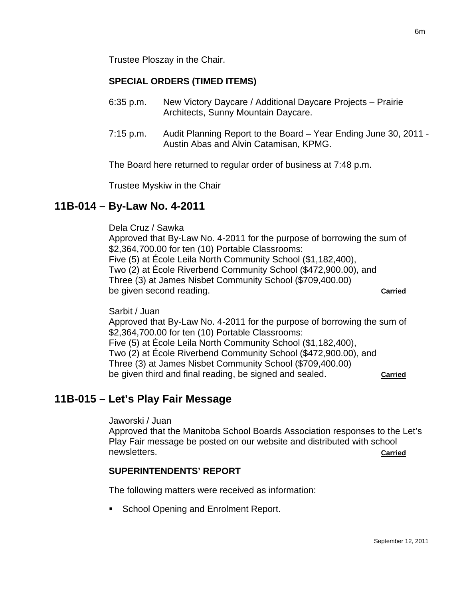## **SPECIAL ORDERS (TIMED ITEMS)**

- 6:35 p.m. New Victory Daycare / Additional Daycare Projects Prairie Architects, Sunny Mountain Daycare.
- 7:15 p.m. Audit Planning Report to the Board Year Ending June 30, 2011 Austin Abas and Alvin Catamisan, KPMG.

The Board here returned to regular order of business at 7:48 p.m.

Trustee Myskiw in the Chair

# **11B-014 – By-Law No. 4-2011**

Dela Cruz / Sawka Approved that By-Law No. 4-2011 for the purpose of borrowing the sum of \$2,364,700.00 for ten (10) Portable Classrooms: Five (5) at École Leila North Community School (\$1,182,400), Two (2) at École Riverbend Community School (\$472,900.00), and Three (3) at James Nisbet Community School (\$709,400.00) be given second reading. **Carried**

Sarbit / Juan

Approved that By-Law No. 4-2011 for the purpose of borrowing the sum of \$2,364,700.00 for ten (10) Portable Classrooms: Five (5) at École Leila North Community School (\$1,182,400), Two (2) at École Riverbend Community School (\$472,900.00), and Three (3) at James Nisbet Community School (\$709,400.00) be given third and final reading, be signed and sealed. **Carried**

# **11B-015 – Let's Play Fair Message**

Jaworski / Juan

Approved that the Manitoba School Boards Association responses to the Let's Play Fair message be posted on our website and distributed with school newsletters. **Carried**

## **SUPERINTENDENTS' REPORT**

The following matters were received as information:

**School Opening and Enrolment Report.**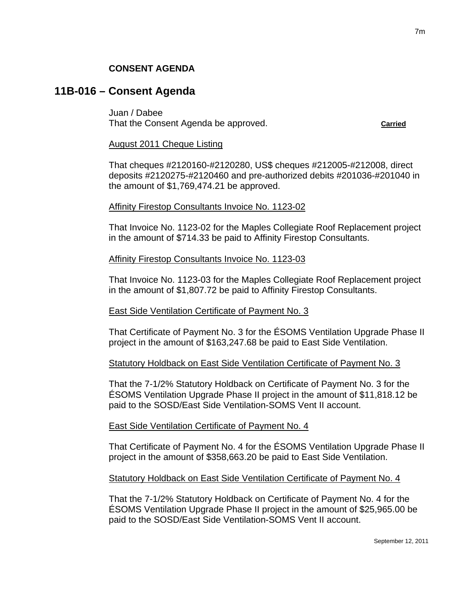### **CONSENT AGENDA**

# **11B-016 – Consent Agenda**

Juan / Dabee That the Consent Agenda be approved. That the Consent Agenda be approved.

#### August 2011 Cheque Listing

That cheques #2120160-#2120280, US\$ cheques #212005-#212008, direct deposits #2120275-#2120460 and pre-authorized debits #201036-#201040 in the amount of \$1,769,474.21 be approved.

#### Affinity Firestop Consultants Invoice No. 1123-02

That Invoice No. 1123-02 for the Maples Collegiate Roof Replacement project in the amount of \$714.33 be paid to Affinity Firestop Consultants.

#### Affinity Firestop Consultants Invoice No. 1123-03

That Invoice No. 1123-03 for the Maples Collegiate Roof Replacement project in the amount of \$1,807.72 be paid to Affinity Firestop Consultants.

#### East Side Ventilation Certificate of Payment No. 3

That Certificate of Payment No. 3 for the ÉSOMS Ventilation Upgrade Phase II project in the amount of \$163,247.68 be paid to East Side Ventilation.

#### Statutory Holdback on East Side Ventilation Certificate of Payment No. 3

That the 7-1/2% Statutory Holdback on Certificate of Payment No. 3 for the ÉSOMS Ventilation Upgrade Phase II project in the amount of \$11,818.12 be paid to the SOSD/East Side Ventilation-SOMS Vent II account.

#### East Side Ventilation Certificate of Payment No. 4

That Certificate of Payment No. 4 for the ÉSOMS Ventilation Upgrade Phase II project in the amount of \$358,663.20 be paid to East Side Ventilation.

#### Statutory Holdback on East Side Ventilation Certificate of Payment No. 4

That the 7-1/2% Statutory Holdback on Certificate of Payment No. 4 for the ÉSOMS Ventilation Upgrade Phase II project in the amount of \$25,965.00 be paid to the SOSD/East Side Ventilation-SOMS Vent II account.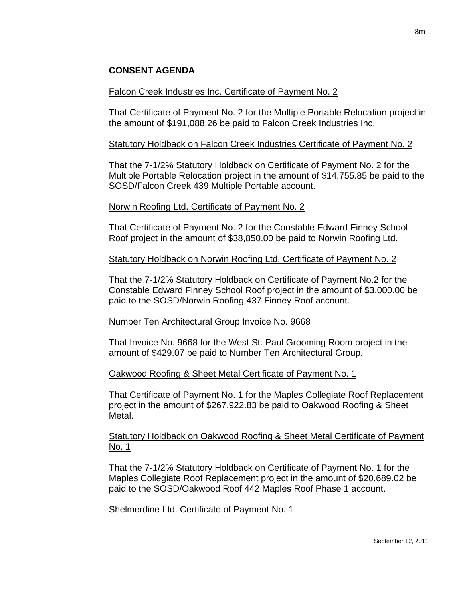### **CONSENT AGENDA**

#### Falcon Creek Industries Inc. Certificate of Payment No. 2

That Certificate of Payment No. 2 for the Multiple Portable Relocation project in the amount of \$191,088.26 be paid to Falcon Creek Industries Inc.

#### Statutory Holdback on Falcon Creek Industries Certificate of Payment No. 2

That the 7-1/2% Statutory Holdback on Certificate of Payment No. 2 for the Multiple Portable Relocation project in the amount of \$14,755.85 be paid to the SOSD/Falcon Creek 439 Multiple Portable account.

#### Norwin Roofing Ltd. Certificate of Payment No. 2

That Certificate of Payment No. 2 for the Constable Edward Finney School Roof project in the amount of \$38,850.00 be paid to Norwin Roofing Ltd.

### Statutory Holdback on Norwin Roofing Ltd. Certificate of Payment No. 2

That the 7-1/2% Statutory Holdback on Certificate of Payment No.2 for the Constable Edward Finney School Roof project in the amount of \$3,000.00 be paid to the SOSD/Norwin Roofing 437 Finney Roof account.

#### Number Ten Architectural Group Invoice No. 9668

That Invoice No. 9668 for the West St. Paul Grooming Room project in the amount of \$429.07 be paid to Number Ten Architectural Group.

#### Oakwood Roofing & Sheet Metal Certificate of Payment No. 1

That Certificate of Payment No. 1 for the Maples Collegiate Roof Replacement project in the amount of \$267,922.83 be paid to Oakwood Roofing & Sheet Metal.

### Statutory Holdback on Oakwood Roofing & Sheet Metal Certificate of Payment No. 1

That the 7-1/2% Statutory Holdback on Certificate of Payment No. 1 for the Maples Collegiate Roof Replacement project in the amount of \$20,689.02 be paid to the SOSD/Oakwood Roof 442 Maples Roof Phase 1 account.

Shelmerdine Ltd. Certificate of Payment No. 1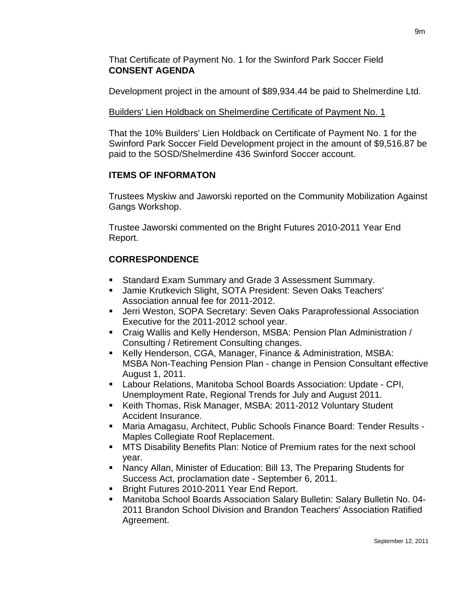That Certificate of Payment No. 1 for the Swinford Park Soccer Field **CONSENT AGENDA** 

Development project in the amount of \$89,934.44 be paid to Shelmerdine Ltd.

## Builders' Lien Holdback on Shelmerdine Certificate of Payment No. 1

That the 10% Builders' Lien Holdback on Certificate of Payment No. 1 for the Swinford Park Soccer Field Development project in the amount of \$9,516.87 be paid to the SOSD/Shelmerdine 436 Swinford Soccer account.

### **ITEMS OF INFORMATON**

Trustees Myskiw and Jaworski reported on the Community Mobilization Against Gangs Workshop.

Trustee Jaworski commented on the Bright Futures 2010-2011 Year End Report.

# **CORRESPONDENCE**

- Standard Exam Summary and Grade 3 Assessment Summary.
- Jamie Krutkevich Slight, SOTA President: Seven Oaks Teachers' Association annual fee for 2011-2012.
- **-** Jerri Weston, SOPA Secretary: Seven Oaks Paraprofessional Association Executive for the 2011-2012 school year.
- Craig Wallis and Kelly Henderson, MSBA: Pension Plan Administration / Consulting / Retirement Consulting changes.
- Kelly Henderson, CGA, Manager, Finance & Administration, MSBA: MSBA Non-Teaching Pension Plan - change in Pension Consultant effective August 1, 2011.
- Labour Relations, Manitoba School Boards Association: Update CPI, Unemployment Rate, Regional Trends for July and August 2011.
- Keith Thomas, Risk Manager, MSBA: 2011-2012 Voluntary Student Accident Insurance.
- Maria Amagasu, Architect, Public Schools Finance Board: Tender Results Maples Collegiate Roof Replacement.
- MTS Disability Benefits Plan: Notice of Premium rates for the next school year.
- Nancy Allan, Minister of Education: Bill 13, The Preparing Students for Success Act, proclamation date - September 6, 2011.
- **Bright Futures 2010-2011 Year End Report.**
- Manitoba School Boards Association Salary Bulletin: Salary Bulletin No. 04- 2011 Brandon School Division and Brandon Teachers' Association Ratified Agreement.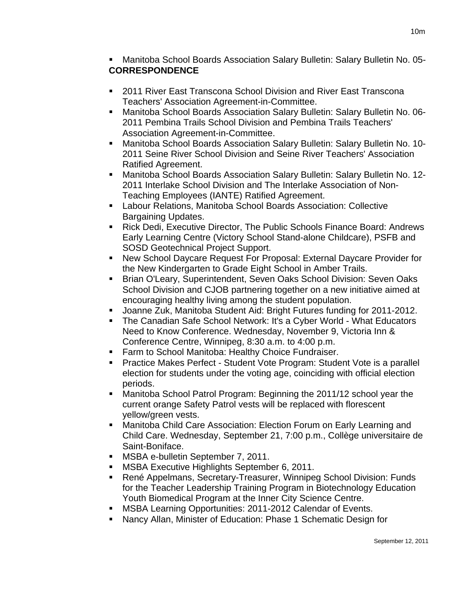Manitoba School Boards Association Salary Bulletin: Salary Bulletin No. 05- **CORRESPONDENCE** 

- 2011 River East Transcona School Division and River East Transcona Teachers' Association Agreement-in-Committee.
- Manitoba School Boards Association Salary Bulletin: Salary Bulletin No. 06- 2011 Pembina Trails School Division and Pembina Trails Teachers' Association Agreement-in-Committee.
- Manitoba School Boards Association Salary Bulletin: Salary Bulletin No. 10- 2011 Seine River School Division and Seine River Teachers' Association Ratified Agreement.
- Manitoba School Boards Association Salary Bulletin: Salary Bulletin No. 12- 2011 Interlake School Division and The Interlake Association of Non-Teaching Employees (IANTE) Ratified Agreement.
- Labour Relations, Manitoba School Boards Association: Collective Bargaining Updates.
- Rick Dedi, Executive Director, The Public Schools Finance Board: Andrews Early Learning Centre (Victory School Stand-alone Childcare), PSFB and SOSD Geotechnical Project Support.
- New School Daycare Request For Proposal: External Daycare Provider for the New Kindergarten to Grade Eight School in Amber Trails.
- **Brian O'Leary, Superintendent, Seven Oaks School Division: Seven Oaks** School Division and CJOB partnering together on a new initiative aimed at encouraging healthy living among the student population.
- Joanne Zuk, Manitoba Student Aid: Bright Futures funding for 2011-2012.
- **The Canadian Safe School Network: It's a Cyber World What Educators** Need to Know Conference. Wednesday, November 9, Victoria Inn & Conference Centre, Winnipeg, 8:30 a.m. to 4:00 p.m.
- **Farm to School Manitoba: Healthy Choice Fundraiser.**
- Practice Makes Perfect Student Vote Program: Student Vote is a parallel election for students under the voting age, coinciding with official election periods.
- Manitoba School Patrol Program: Beginning the 2011/12 school year the current orange Safety Patrol vests will be replaced with florescent yellow/green vests.
- Manitoba Child Care Association: Election Forum on Early Learning and Child Care. Wednesday, September 21, 7:00 p.m., Collège universitaire de Saint-Boniface.
- MSBA e-bulletin September 7, 2011.
- MSBA Executive Highlights September 6, 2011.
- René Appelmans, Secretary-Treasurer, Winnipeg School Division: Funds for the Teacher Leadership Training Program in Biotechnology Education Youth Biomedical Program at the Inner City Science Centre.
- **MSBA Learning Opportunities: 2011-2012 Calendar of Events.**
- Nancy Allan, Minister of Education: Phase 1 Schematic Design for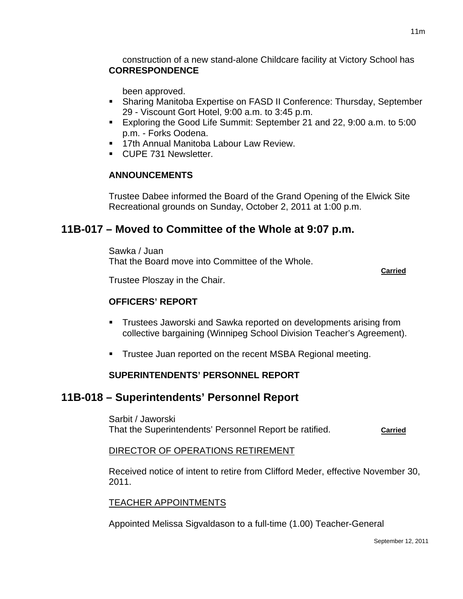construction of a new stand-alone Childcare facility at Victory School has **CORRESPONDENCE** 

been approved.

- Sharing Manitoba Expertise on FASD II Conference: Thursday, September 29 - Viscount Gort Hotel, 9:00 a.m. to 3:45 p.m.
- Exploring the Good Life Summit: September 21 and 22, 9:00 a.m. to 5:00 p.m. - Forks Oodena.
- **17th Annual Manitoba Labour Law Review.**
- CUPE 731 Newsletter.

## **ANNOUNCEMENTS**

Trustee Dabee informed the Board of the Grand Opening of the Elwick Site Recreational grounds on Sunday, October 2, 2011 at 1:00 p.m.

# **11B-017 – Moved to Committee of the Whole at 9:07 p.m.**

Sawka / Juan That the Board move into Committee of the Whole.

**Carried** Carried Communication of the Carried Carried Carried Carried Carried Carried Carried Carried Carried Carried Carried Carried Carried Carried Carried Carried Carried Carried Carried Carried Carried Carried Carried

Trustee Ploszay in the Chair.

## **OFFICERS' REPORT**

- Trustees Jaworski and Sawka reported on developments arising from collective bargaining (Winnipeg School Division Teacher's Agreement).
- **Trustee Juan reported on the recent MSBA Regional meeting.**

## **SUPERINTENDENTS' PERSONNEL REPORT**

# **11B-018 – Superintendents' Personnel Report**

Sarbit / Jaworski That the Superintendents' Personnel Report be ratified. **Carried**

## DIRECTOR OF OPERATIONS RETIREMENT

Received notice of intent to retire from Clifford Meder, effective November 30, 2011.

## TEACHER APPOINTMENTS

Appointed Melissa Sigvaldason to a full-time (1.00) Teacher-General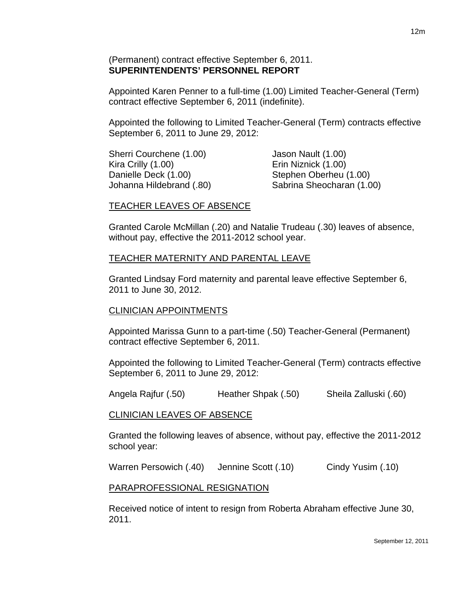### (Permanent) contract effective September 6, 2011. **SUPERINTENDENTS' PERSONNEL REPORT**

Appointed Karen Penner to a full-time (1.00) Limited Teacher-General (Term) contract effective September 6, 2011 (indefinite).

Appointed the following to Limited Teacher-General (Term) contracts effective September 6, 2011 to June 29, 2012:

Sherri Courchene (1.00) Jason Nault (1.00) Kira Crilly (1.00) Erin Niznick (1.00) Danielle Deck (1.00) Stephen Oberheu (1.00)

Johanna Hildebrand (.80) Sabrina Sheocharan (1.00)

### TEACHER LEAVES OF ABSENCE

Granted Carole McMillan (.20) and Natalie Trudeau (.30) leaves of absence, without pay, effective the 2011-2012 school year.

### TEACHER MATERNITY AND PARENTAL LEAVE

Granted Lindsay Ford maternity and parental leave effective September 6, 2011 to June 30, 2012.

#### CLINICIAN APPOINTMENTS

Appointed Marissa Gunn to a part-time (.50) Teacher-General (Permanent) contract effective September 6, 2011.

Appointed the following to Limited Teacher-General (Term) contracts effective September 6, 2011 to June 29, 2012:

Angela Rajfur (.50) Heather Shpak (.50) Sheila Zalluski (.60)

### CLINICIAN LEAVES OF ABSENCE

Granted the following leaves of absence, without pay, effective the 2011-2012 school year:

Warren Persowich (.40) Jennine Scott (.10) Cindy Yusim (.10)

#### PARAPROFESSIONAL RESIGNATION

Received notice of intent to resign from Roberta Abraham effective June 30, 2011.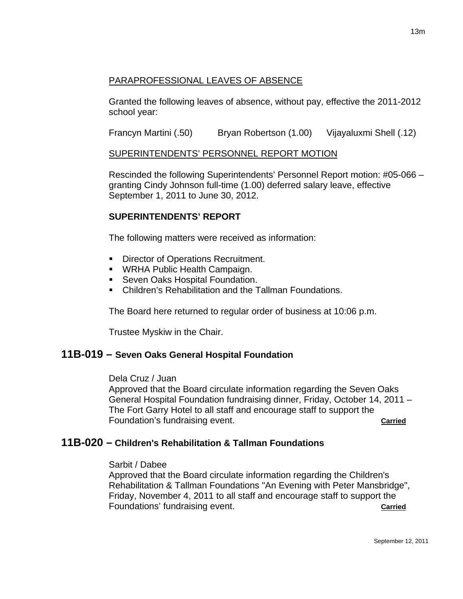## PARAPROFESSIONAL LEAVES OF ABSENCE

Granted the following leaves of absence, without pay, effective the 2011-2012 school year:

Francyn Martini (.50) Bryan Robertson (1.00) Vijayaluxmi Shell (.12)

## SUPERINTENDENTS' PERSONNEL REPORT MOTION

Rescinded the following Superintendents' Personnel Report motion: #05-066 – granting Cindy Johnson full-time (1.00) deferred salary leave, effective September 1, 2011 to June 30, 2012.

## **SUPERINTENDENTS' REPORT**

The following matters were received as information:

- Director of Operations Recruitment.
- **WRHA Public Health Campaign.**
- **Seven Oaks Hospital Foundation.**
- Children's Rehabilitation and the Tallman Foundations.

The Board here returned to regular order of business at 10:06 p.m.

Trustee Myskiw in the Chair.

# **11B-019 – Seven Oaks General Hospital Foundation**

### Dela Cruz / Juan

Approved that the Board circulate information regarding the Seven Oaks General Hospital Foundation fundraising dinner, Friday, October 14, 2011 – The Fort Garry Hotel to all staff and encourage staff to support the Foundation's fundraising event. **Carried Carried** 

# **11B-020 – Children's Rehabilitation & Tallman Foundations**

### Sarbit / Dabee

Approved that the Board circulate information regarding the Children's Rehabilitation & Tallman Foundations "An Evening with Peter Mansbridge", Friday, November 4, 2011 to all staff and encourage staff to support the Foundations' fundraising event. **Carried Carried**